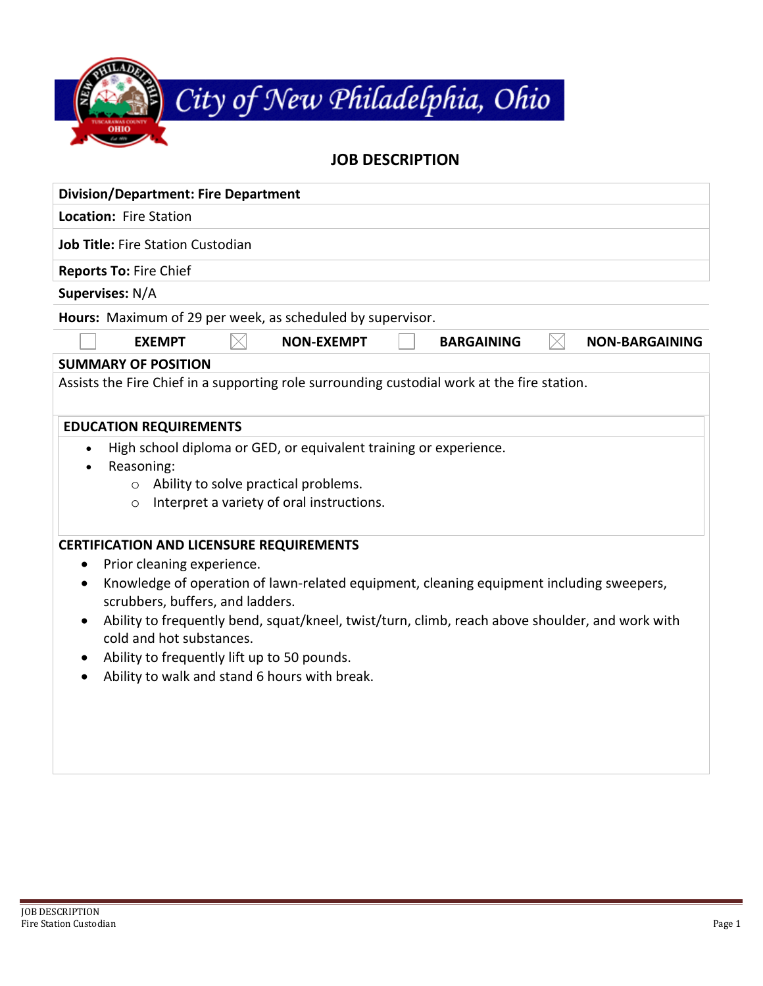| City of New Philadelphia, Ohio |  |
|--------------------------------|--|
|                                |  |
| <b>JOB DESCRIPTION</b>         |  |

| <b>Division/Department: Fire Department</b>                                                                                                                                                             |  |  |  |  |
|---------------------------------------------------------------------------------------------------------------------------------------------------------------------------------------------------------|--|--|--|--|
| Location: Fire Station                                                                                                                                                                                  |  |  |  |  |
| <b>Job Title: Fire Station Custodian</b>                                                                                                                                                                |  |  |  |  |
| <b>Reports To: Fire Chief</b>                                                                                                                                                                           |  |  |  |  |
| Supervises: N/A                                                                                                                                                                                         |  |  |  |  |
| Hours: Maximum of 29 per week, as scheduled by supervisor.                                                                                                                                              |  |  |  |  |
| <b>EXEMPT</b><br><b>NON-EXEMPT</b><br><b>BARGAINING</b><br><b>NON-BARGAINING</b>                                                                                                                        |  |  |  |  |
| <b>SUMMARY OF POSITION</b>                                                                                                                                                                              |  |  |  |  |
| Assists the Fire Chief in a supporting role surrounding custodial work at the fire station.                                                                                                             |  |  |  |  |
| <b>EDUCATION REQUIREMENTS</b>                                                                                                                                                                           |  |  |  |  |
| High school diploma or GED, or equivalent training or experience.<br>$\bullet$<br>Reasoning:<br>Ability to solve practical problems.<br>$\circ$<br>Interpret a variety of oral instructions.<br>$\circ$ |  |  |  |  |
| <b>CERTIFICATION AND LICENSURE REQUIREMENTS</b>                                                                                                                                                         |  |  |  |  |
| Prior cleaning experience.<br>٠                                                                                                                                                                         |  |  |  |  |
| Knowledge of operation of lawn-related equipment, cleaning equipment including sweepers,<br>scrubbers, buffers, and ladders.                                                                            |  |  |  |  |
| Ability to frequently bend, squat/kneel, twist/turn, climb, reach above shoulder, and work with<br>cold and hot substances.                                                                             |  |  |  |  |
| Ability to frequently lift up to 50 pounds.<br>$\bullet$                                                                                                                                                |  |  |  |  |
| Ability to walk and stand 6 hours with break.                                                                                                                                                           |  |  |  |  |